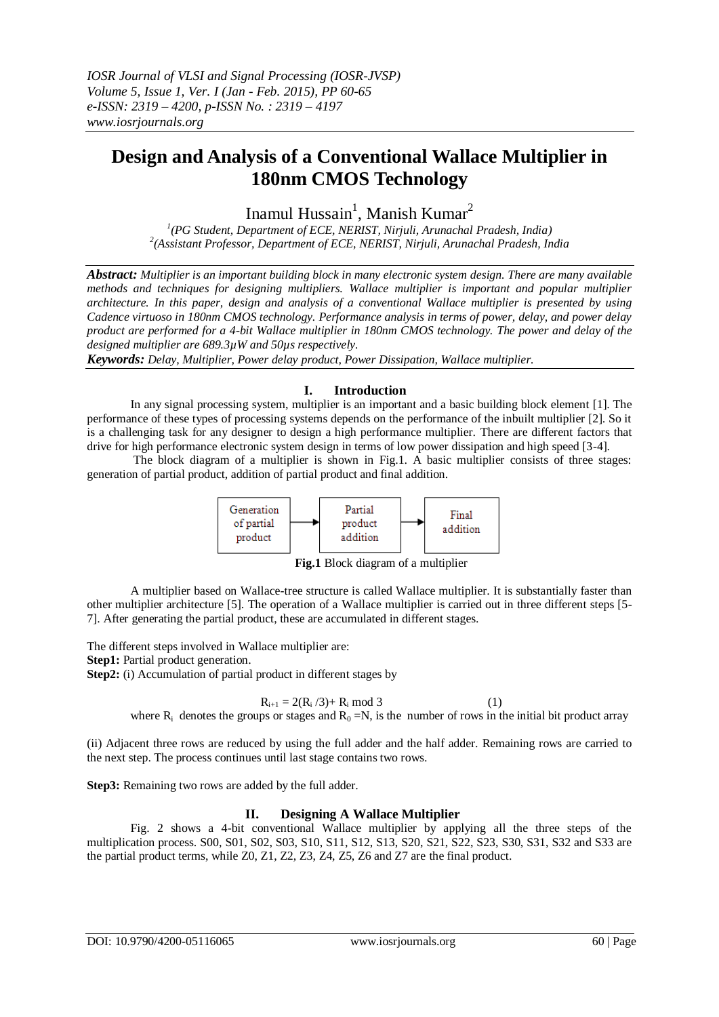# **Design and Analysis of a Conventional Wallace Multiplier in 180nm CMOS Technology**

Inamul Hussain<sup>1</sup>, Manish Kumar<sup>2</sup>

*1 (PG Student, Department of ECE, NERIST, Nirjuli, Arunachal Pradesh, India) 2 (Assistant Professor, Department of ECE, NERIST, Nirjuli, Arunachal Pradesh, India*

*Abstract: Multiplier is an important building block in many electronic system design. There are many available methods and techniques for designing multipliers. Wallace multiplier is important and popular multiplier architecture. In this paper, design and analysis of a conventional Wallace multiplier is presented by using Cadence virtuoso in 180nm CMOS technology. Performance analysis in terms of power, delay, and power delay product are performed for a 4-bit Wallace multiplier in 180nm CMOS technology. The power and delay of the designed multiplier are 689.3µW and 50µs respectively.*

*Keywords: Delay, Multiplier, Power delay product, Power Dissipation, Wallace multiplier.* 

# **I. Introduction**

In any signal processing system, multiplier is an important and a basic building block element [1]. The performance of these types of processing systems depends on the performance of the inbuilt multiplier [2]. So it is a challenging task for any designer to design a high performance multiplier. There are different factors that drive for high performance electronic system design in terms of low power dissipation and high speed [3-4].

The block diagram of a multiplier is shown in Fig.1. A basic multiplier consists of three stages: generation of partial product, addition of partial product and final addition.



**Fig.1** Block diagram of a multiplier

A multiplier based on Wallace-tree structure is called Wallace multiplier. It is substantially faster than other multiplier architecture [5]. The operation of a Wallace multiplier is carried out in three different steps [5- 7]. After generating the partial product, these are accumulated in different stages.

The different steps involved in Wallace multiplier are: **Step1:** Partial product generation. **Step2:** (i) Accumulation of partial product in different stages by

 $R_{i+1} = 2(R_i/3) + R_i \mod 3$  (1) where  $R_i$  denotes the groups or stages and  $R_0 = N$ , is the number of rows in the initial bit product array

(ii) Adjacent three rows are reduced by using the full adder and the half adder. Remaining rows are carried to the next step. The process continues until last stage contains two rows.

**Step3:** Remaining two rows are added by the full adder.

# **II. Designing A Wallace Multiplier**

Fig. 2 shows a 4-bit conventional Wallace multiplier by applying all the three steps of the multiplication process. S00, S01, S02, S03, S10, S11, S12, S13, S20, S21, S22, S23, S30, S31, S32 and S33 are the partial product terms, while Z0, Z1, Z2, Z3, Z4, Z5, Z6 and Z7 are the final product.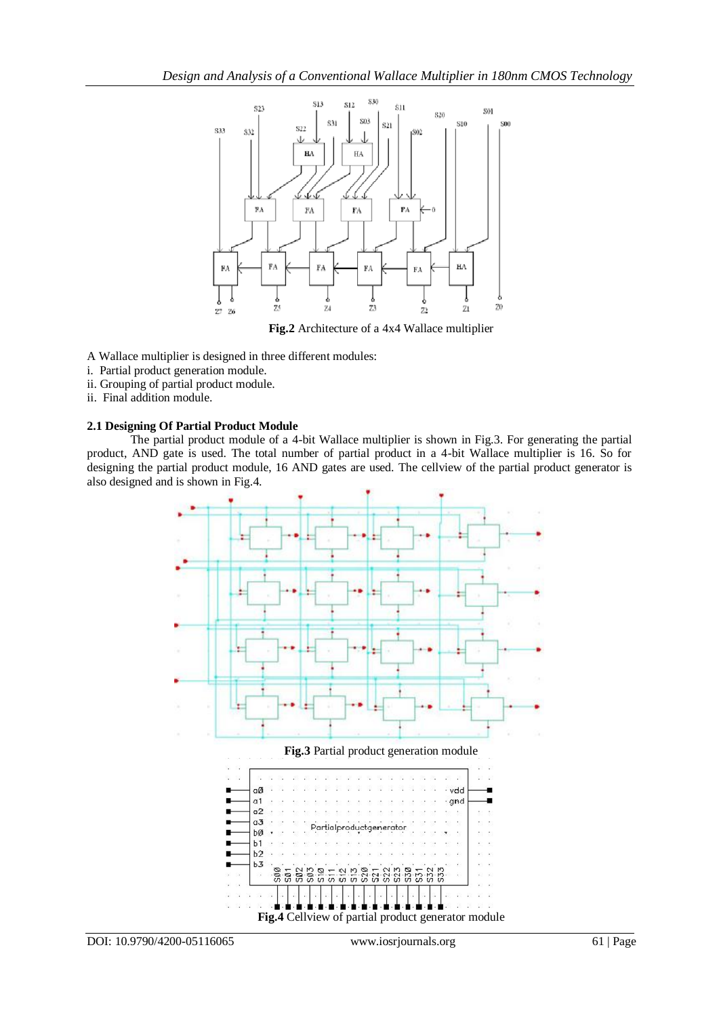

**Fig.2** Architecture of a 4x4 Wallace multiplier

A Wallace multiplier is designed in three different modules:

- i. Partial product generation module.
- ii. Grouping of partial product module.
- ii. Final addition module.

## **2.1 Designing Of Partial Product Module**

The partial product module of a 4-bit Wallace multiplier is shown in Fig.3. For generating the partial product, AND gate is used. The total number of partial product in a 4-bit Wallace multiplier is 16. So for designing the partial product module, 16 AND gates are used. The cellview of the partial product generator is also designed and is shown in Fig.4.

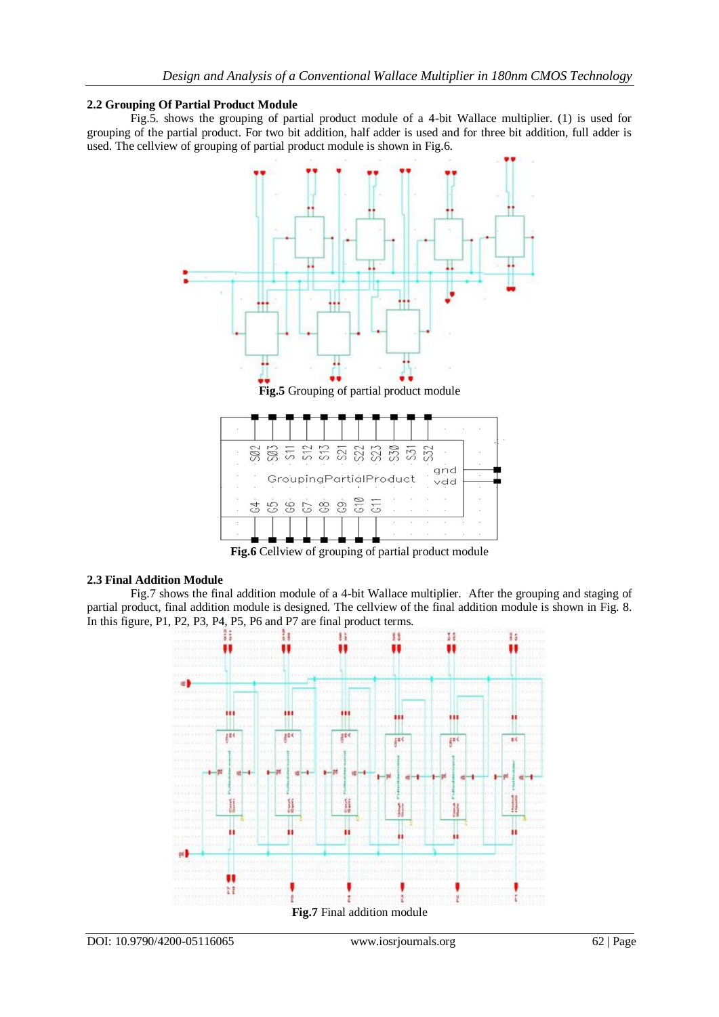## **2.2 Grouping Of Partial Product Module**

Fig.5. shows the grouping of partial product module of a 4-bit Wallace multiplier. (1) is used for grouping of the partial product. For two bit addition, half adder is used and for three bit addition, full adder is used. The cellview of grouping of partial product module is shown in Fig.6.



**Fig.6** Cellview of grouping of partial product module

#### **2.3 Final Addition Module**

Fig.7 shows the final addition module of a 4-bit Wallace multiplier. After the grouping and staging of partial product, final addition module is designed. The cellview of the final addition module is shown in Fig. 8. In this figure, P1, P2, P3, P4, P5, P6 and P7 are final product terms.

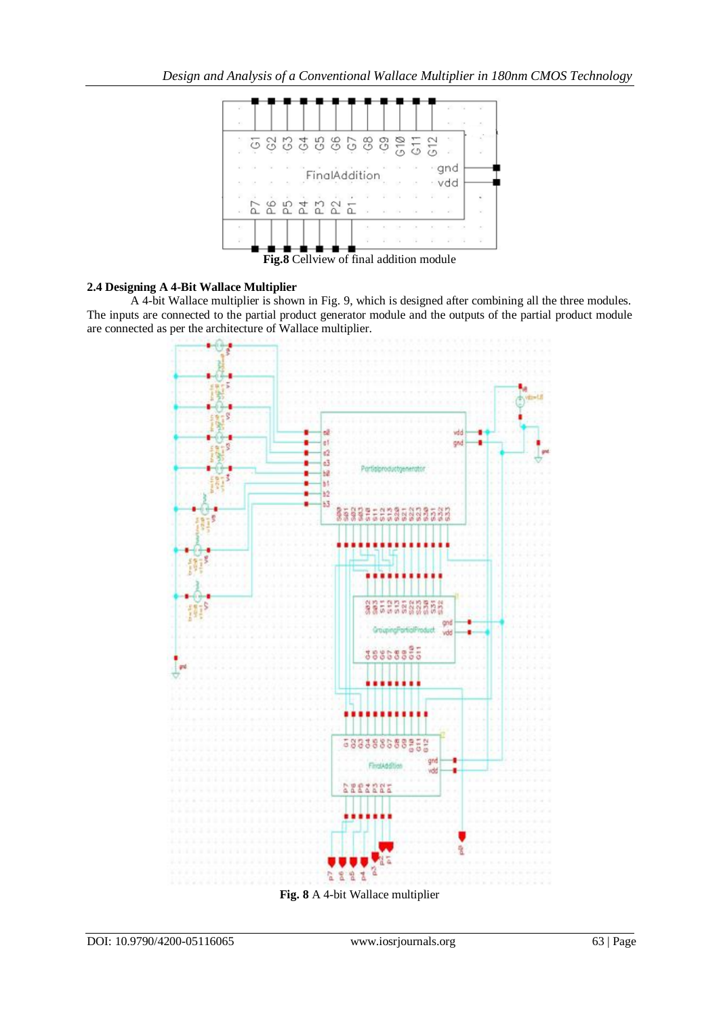

**Fig.8** Cellview of final addition module

# **2.4 Designing A 4-Bit Wallace Multiplier**

A 4-bit Wallace multiplier is shown in Fig. 9, which is designed after combining all the three modules. The inputs are connected to the partial product generator module and the outputs of the partial product module are connected as per the architecture of Wallace multiplier.



**Fig. 8** A 4-bit Wallace multiplier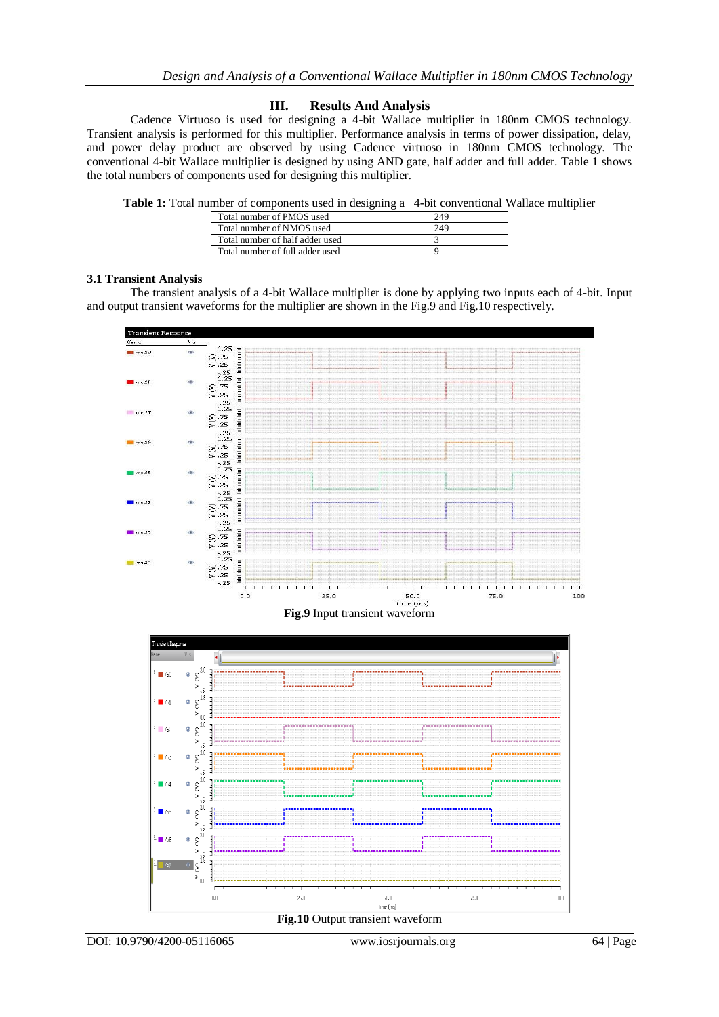# **III. Results And Analysis**

Cadence Virtuoso is used for designing a 4-bit Wallace multiplier in 180nm CMOS technology. Transient analysis is performed for this multiplier. Performance analysis in terms of power dissipation, delay, and power delay product are observed by using Cadence virtuoso in 180nm CMOS technology. The conventional 4-bit Wallace multiplier is designed by using AND gate, half adder and full adder. Table 1 shows the total numbers of components used for designing this multiplier.

**Table 1:** Total number of components used in designing a 4-bit conventional Wallace multiplier

|  | Total number of PMOS used       | 249 |
|--|---------------------------------|-----|
|  | Total number of NMOS used       | 249 |
|  | Total number of half adder used |     |
|  | Total number of full adder used |     |

## **3.1 Transient Analysis**

The transient analysis of a 4-bit Wallace multiplier is done by applying two inputs each of 4-bit. Input and output transient waveforms for the multiplier are shown in the Fig.9 and Fig.10 respectively.